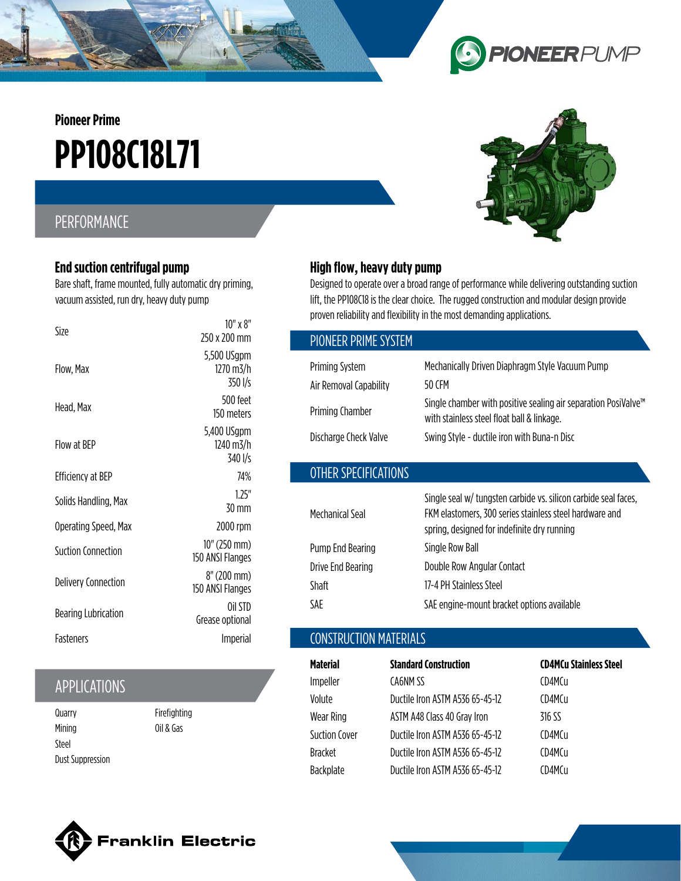**Pioneer Prime**

# **PP108C18L71**

## PERFORMANCE

#### **End suction centrifugal pump**

Bare shaft, frame mounted, fully automatic dry priming, vacuum assisted, run dry, heavy duty pump

| Size                       | $10''$ x $8''$<br>250 x 200 mm      |
|----------------------------|-------------------------------------|
| Flow, Max                  | 5,500 USgpm<br>1270 m3/h<br>350 I/s |
| Head, Max                  | 500 feet<br>150 meters              |
| <b>Flow at RFP</b>         | 5,400 USgpm<br>1240 m3/h<br>340 I/s |
| <b>Efficiency at BEP</b>   | 74%                                 |
| Solids Handling, Max       | 1.25"<br>30 mm                      |
| Operating Speed, Max       | 2000 rpm                            |
| Suction Connection         | 10" (250 mm)<br>150 ANSI Flanges    |
| <b>Delivery Connection</b> | 8" (200 mm)<br>150 ANSI Flanges     |
| <b>Bearing Lubrication</b> | Oil STD<br>Grease optional          |
| <b>Fasteners</b>           | Imperial                            |

## APPLICATIONS

**Quarry** Mining Steel Dust Suppression Firefighting Oil & Gas



**PIONEER** PUMP

#### **High flow, heavy duty pump**

**ONEER PRIME CVCT** 

OTHER SPECIFICATIONS

Designed to operate over a broad range of performance while delivering outstanding suction lift, the PP108C18 is the clear choice. The rugged construction and modular design provide proven reliability and flexibility in the most demanding applications.

**b** 

| PIUNEER PRIME SYSTEM   |                                                                                                                          |
|------------------------|--------------------------------------------------------------------------------------------------------------------------|
| Priming System         | Mechanically Driven Diaphragm Style Vacuum Pump                                                                          |
| Air Removal Capability | 50 CFM                                                                                                                   |
| Priming Chamber        | Single chamber with positive sealing air separation PosiValve <sup>™</sup><br>with stainless steel float ball & linkage. |
| Discharge Check Valve  | Swing Style - ductile iron with Buna-n Disc                                                                              |
|                        |                                                                                                                          |

| Single seal w/ tungsten carbide vs. silicon carbide seal faces,<br>FKM elastomers, 300 series stainless steel hardware and<br>spring, designed for indefinite dry running |
|---------------------------------------------------------------------------------------------------------------------------------------------------------------------------|
| Single Row Ball                                                                                                                                                           |
| Double Row Angular Contact                                                                                                                                                |
| 17-4 PH Stainless Steel                                                                                                                                                   |
| SAE engine-mount bracket options available                                                                                                                                |
|                                                                                                                                                                           |

### CONSTRUCTION MATERIALS

| Material             | <b>Standard Construction</b>    | <b>CD4MCu Stainless Steel</b> |
|----------------------|---------------------------------|-------------------------------|
| Impeller             | CA6NM SS                        | CD4MCu                        |
| Volute               | Ductile Iron ASTM A536 65-45-12 | CD4MCu                        |
| Wear Ring            | ASTM A48 Class 40 Gray Iron     | 316 SS                        |
| <b>Suction Cover</b> | Ductile Iron ASTM A536 65-45-12 | CD4MCu                        |
| <b>Bracket</b>       | Ductile Iron ASTM A536 65-45-12 | CD4MCu                        |
| <b>Backplate</b>     | Ductile Iron ASTM A536 65-45-12 | CD4MCu                        |